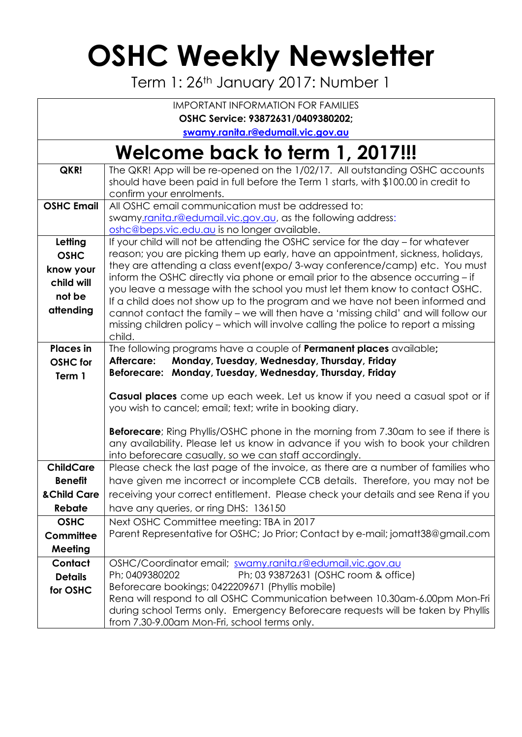## **OSHC Weekly Newsletter**

Term 1: 26<sup>th</sup> January 2017: Number 1

| <b>IMPORTANT INFORMATION FOR FAMILIES</b> |                                                                                                                                                             |  |  |  |  |  |
|-------------------------------------------|-------------------------------------------------------------------------------------------------------------------------------------------------------------|--|--|--|--|--|
| OSHC Service: 93872631/0409380202;        |                                                                                                                                                             |  |  |  |  |  |
|                                           | swamy.ranita.r@edumail.vic.gov.au                                                                                                                           |  |  |  |  |  |
| Welcome back to term 1, 2017!!!           |                                                                                                                                                             |  |  |  |  |  |
| QKR!                                      | The QKR! App will be re-opened on the 1/02/17. All outstanding OSHC accounts                                                                                |  |  |  |  |  |
|                                           | should have been paid in full before the Term 1 starts, with \$100.00 in credit to                                                                          |  |  |  |  |  |
| <b>OSHC Email</b>                         | confirm your enrolments.<br>All OSHC email communication must be addressed to:                                                                              |  |  |  |  |  |
|                                           | swamy.ranita.r@edumail.vic.gov.au, as the following address:                                                                                                |  |  |  |  |  |
|                                           | oshc@beps.vic.edu.au is no longer available.                                                                                                                |  |  |  |  |  |
| Letting                                   | If your child will not be attending the OSHC service for the day – for whatever                                                                             |  |  |  |  |  |
| <b>OSHC</b>                               | reason; you are picking them up early, have an appointment, sickness, holidays,                                                                             |  |  |  |  |  |
| know your                                 | they are attending a class event (expo/3-way conference/camp) etc. You must                                                                                 |  |  |  |  |  |
| child will                                | inform the OSHC directly via phone or email prior to the absence occurring - if                                                                             |  |  |  |  |  |
| not be                                    | you leave a message with the school you must let them know to contact OSHC.<br>If a child does not show up to the program and we have not been informed and |  |  |  |  |  |
| attending                                 | cannot contact the family - we will then have a 'missing child' and will follow our                                                                         |  |  |  |  |  |
|                                           | missing children policy - which will involve calling the police to report a missing                                                                         |  |  |  |  |  |
|                                           | child.                                                                                                                                                      |  |  |  |  |  |
| <b>Places</b> in                          | The following programs have a couple of <b>Permanent places</b> available;                                                                                  |  |  |  |  |  |
| <b>OSHC</b> for                           | Monday, Tuesday, Wednesday, Thursday, Friday<br>Aftercare:<br>Beforecare: Monday, Tuesday, Wednesday, Thursday, Friday                                      |  |  |  |  |  |
| Term 1                                    |                                                                                                                                                             |  |  |  |  |  |
|                                           | <b>Casual places</b> come up each week. Let us know if you need a casual spot or if                                                                         |  |  |  |  |  |
|                                           | you wish to cancel; email; text; write in booking diary.                                                                                                    |  |  |  |  |  |
|                                           | <b>Beforecare</b> ; Ring Phyllis/OSHC phone in the morning from 7.30am to see if there is                                                                   |  |  |  |  |  |
|                                           | any availability. Please let us know in advance if you wish to book your children                                                                           |  |  |  |  |  |
|                                           | into beforecare casually, so we can staff accordingly.                                                                                                      |  |  |  |  |  |
| <b>ChildCare</b>                          | Please check the last page of the invoice, as there are a number of families who                                                                            |  |  |  |  |  |
| <b>Benefit</b>                            | have given me incorrect or incomplete CCB details. Therefore, you may not be                                                                                |  |  |  |  |  |
| & Child Care                              | receiving your correct entitlement. Please check your details and see Rena if you                                                                           |  |  |  |  |  |
| Rebate                                    | have any queries, or ring DHS: 136150                                                                                                                       |  |  |  |  |  |
| <b>OSHC</b>                               | Next OSHC Committee meeting: TBA in 2017                                                                                                                    |  |  |  |  |  |
| Committee                                 | Parent Representative for OSHC; Jo Prior; Contact by e-mail; jomatt38@gmail.com                                                                             |  |  |  |  |  |
| Meeting                                   |                                                                                                                                                             |  |  |  |  |  |
| Contact                                   | OSHC/Coordinator email; swamy.ranita.r@edumail.vic.gov.au                                                                                                   |  |  |  |  |  |
| <b>Details</b>                            | Ph; 03 93872631 (OSHC room & office)<br>Ph; 0409380202                                                                                                      |  |  |  |  |  |
| for OSHC                                  | Beforecare bookings; 0422209671 (Phyllis mobile)<br>Rena will respond to all OSHC Communication between 10.30am-6.00pm Mon-Fri                              |  |  |  |  |  |
|                                           | during school Terms only. Emergency Beforecare requests will be taken by Phyllis                                                                            |  |  |  |  |  |
|                                           | from 7.30-9.00am Mon-Fri, school terms only.                                                                                                                |  |  |  |  |  |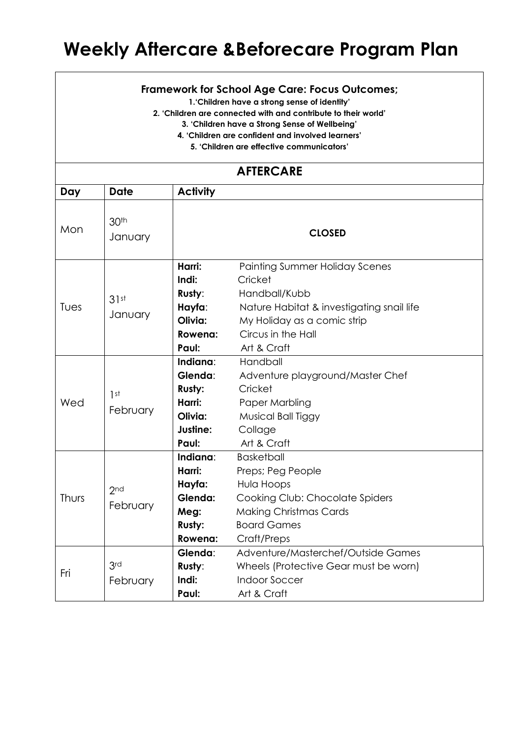## **Weekly Aftercare &Beforecare Program Plan**

## **Framework for School Age Care: Focus Outcomes;**

**1.'Children have a strong sense of identity'**

**2. 'Children are connected with and contribute to their world'**

**3. 'Children have a Strong Sense of Wellbeing'**

**4. 'Children are confident and involved learners'**

**5. 'Children are effective communicators'**

## **AFTERCARE**

| Day   | <b>Date</b>                 | <b>Activity</b>                                                                                                                                                                                      |                                                                                                                                                                                    |  |  |
|-------|-----------------------------|------------------------------------------------------------------------------------------------------------------------------------------------------------------------------------------------------|------------------------------------------------------------------------------------------------------------------------------------------------------------------------------------|--|--|
| Mon   | 30 <sup>th</sup><br>January | <b>CLOSED</b>                                                                                                                                                                                        |                                                                                                                                                                                    |  |  |
| Tues  | 31st<br>January             | Harri:<br>Indi:<br>Rusty:<br>Hayfa:<br>Olivia:<br>Rowena:<br>Paul:                                                                                                                                   | <b>Painting Summer Holiday Scenes</b><br>Cricket<br>Handball/Kubb<br>Nature Habitat & investigating snail life<br>My Holiday as a comic strip<br>Circus in the Hall<br>Art & Craft |  |  |
| Wed   | 1st<br>February             | Indiana:<br>Handball<br>Glenda:<br>Adventure playground/Master Chef<br>Rusty:<br>Cricket<br>Harri:<br>Paper Marbling<br>Olivia:<br>Musical Ball Tiggy<br>Justine:<br>Collage<br>Art & Craft<br>Paul: |                                                                                                                                                                                    |  |  |
| Thurs | 2 <sub>nd</sub><br>February | Indiana:<br>Harri:<br>Hayfa:<br>Glenda:<br>Meg:<br>Rusty:<br>Rowena:                                                                                                                                 | <b>Basketball</b><br>Preps; Peg People<br>Hula Hoops<br>Cooking Club: Chocolate Spiders<br><b>Making Christmas Cards</b><br><b>Board Games</b><br>Craft/Preps                      |  |  |
| Fri   | 3rd<br>February             | Glenda:<br>Rusty:<br>Indi:<br>Paul:                                                                                                                                                                  | Adventure/Masterchef/Outside Games<br>Wheels (Protective Gear must be worn)<br><b>Indoor Soccer</b><br>Art & Craft                                                                 |  |  |